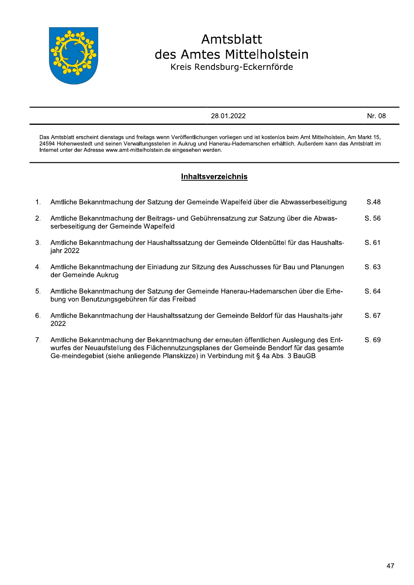

-

# Amtsblatt des Amtes Mittelholstein Kreis Rendsburg-Eckernförde

28.01.2022

 $\mathsf{Nr}\,.\,08$ 

Das Amtsblatt erscheint dienstags und freitags wenn Veröffentlichungen vorliegen und ist kostenlos beim A Das Amtsblatt erscheint die<br>
24594 Hohenwestedt und s<br>
Internet unter der Adresse <sup>2</sup><br>und ist kostenlos beim Amt Mittelholstein, Am<br>emarschen erhältlich. Außerdem kann das An<br>S Mittelholstein, A Nr. 08<br>
Mr. 08<br>
Markt 15, Außerdem kann das Amtsblatt im Markt 15. 24594 Hohenwestedt und seinen Verwaltungsstellen in A 28.01.2<br>
s und freitags wenn Veröffentlichungen vorlieg<br>
Verwaltungsstellen in Aukrug und Hanerau-H<br>
mt-mittelholstein.de eingesehen werden.<br>
Inhaltsverzeich und Hanerau-Hademarschen erhältlich. A 2<br>
und ist kostenlos beim Amt Mittelholstein, Ar<br>
emarschen erhältlich. Außerdem kann das A<br>
<u>isterien als a brusses whose itieurs</u> kann das A Nr. 08<br>
m Amt Mittelholstein, Am Markt 15,<br>
. Außerdem kann das Amtsblatt im<br>
.<br>
. im 24334 Honenwestedt und seinen Verwaltungsstellen in Adkrug und Hanerad<br>Internet unter der Adresse www.amt-mittelholstein.de eingesehen werden. Das Amtsblatt erscheint dienstags und fr<br>
24594 Hohenwestedt und seinen Verwa<br>
Internet unter der Adresse www.amt-mitt<br>
1. Amtliche Bekanntmachung d

## D Inhaltsverzeichnis

|    | <b>Inhaltsverzeichnis</b>                                                                                                                                                                                                                                                |
|----|--------------------------------------------------------------------------------------------------------------------------------------------------------------------------------------------------------------------------------------------------------------------------|
| 1. | Amtliche Bekanntmachung der Satzung der Gemeinde Wapelfeld über die Abwasserbeseitigung                                                                                                                                                                                  |
| 2. | Amtliche Bekanntmachung der Beitrags- und Gebührensatzung zur Satzung über die Abwas-<br>serbeseitigung der Gemeinde Wapelfeld                                                                                                                                           |
| 3. | Amtliche Bekanntmachung der Haushaltssatzung der Gemeinde Oldenbüttel für das Haushalts-<br>jahr 2022                                                                                                                                                                    |
| 4. | Amtliche Bekanntmachung der Einladung zur Sitzung des Ausschusses für Bau und Planungen<br>der Gemeinde Aukrug                                                                                                                                                           |
| 5. | Amtliche Bekanntmachung der Satzung der Gemeinde Hanerau-Hademarschen über die Erhe-<br>bung von Benutzungsgebühren für das Freibad                                                                                                                                      |
| 6. | Amtliche Bekanntmachung der Haushaltssatzung der Gemeinde Beldorf für das Haushalts-jahr<br>2022                                                                                                                                                                         |
| 7. | Amtliche Bekanntmachung der Bekanntmachung der erneuten öffentlichen Auslegung des Ent-<br>wurfes der Neuaufstellung des Flächennutzungsplanes der Gemeinde Bendorf für das gesamte<br>Ge-meindegebiet (siehe anliegende Planskizze) in Verbindung mit § 4a Abs. 3 BauGB |
|    |                                                                                                                                                                                                                                                                          |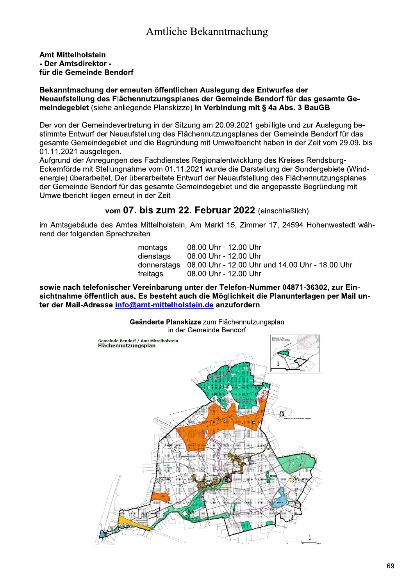## **Amt Mittelholstein** - Der Amtsdirektor für die Gemeinde Bendorf

### Bekanntmachung der erneuten öffentlichen Auslegung des Entwurfes der Neuaufstellung des Flächennutzungsplanes der Gemeinde Bendorf für das gesamte Gemeindegebiet (siehe anliegende Planskizze) in Verbindung mit § 4a Abs. 3 BauGB

Der von der Gemeindevertretung in der Sitzung am 20.09.2021 gebilligte und zur Auslegung bestimmte Entwurf der Neuaufstellung des Flächennutzungsplanes der Gemeinde Bendorf für das gesamte Gemeindegebiet und die Begründung mit Umweltbericht haben in der Zeit vom 29.09. bis 01.11.2021 ausgelegen.

Aufgrund der Anregungen des Fachdienstes Regionalentwicklung des Kreises Rendsburg-Eckernförde mit Stellungnahme vom 01.11.2021 wurde die Darstellung der Sondergebiete (Windenergie) überarbeitet. Der überarbeitete Entwurf der Neuaufstellung des Flächennutzungsplanes der Gemeinde Bendorf für das gesamte Gemeindegebiet und die angepasste Begründung mit Umweltbericht liegen erneut in der Zeit

## vom 07. bis zum 22. Februar 2022 (einschließlich)

im Amtsgebäude des Amtes Mittelholstein, Am Markt 15, Zimmer 17, 24594 Hohenwestedt während der folgenden Sprechzeiten

| donnerstags 08.00 Uhr - 12.00 Uhr und 14.00 Uhr - 18.00 Uhr |
|-------------------------------------------------------------|
|                                                             |
|                                                             |

sowie nach telefonischer Vereinbarung unter der Telefon-Nummer 04871-36302, zur Einsichtnahme öffentlich aus. Es besteht auch die Möglichkeit die Planunterlagen per Mail unter der Mail-Adresse info@amt-mittelholstein.de anzufordern.

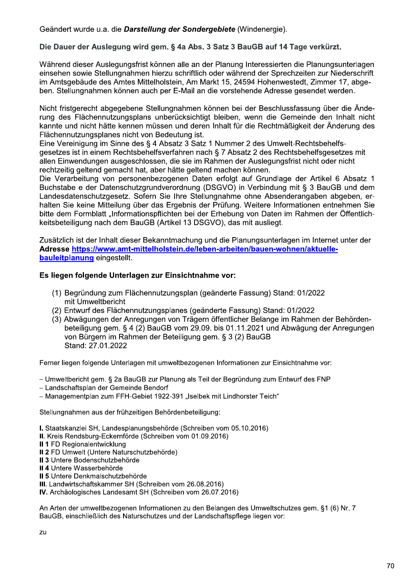Geändert wurde u.a. die Darstellung der Sondergebiete (Windenergie).

## Die Dauer der Auslegung wird gem. § 4a Abs. 3 Satz 3 BauGB auf 14 Tage verkürzt.

Während dieser Auslegungsfrist können alle an der Planung Interessierten die Planungsunterlagen einsehen sowie Stellungnahmen hierzu schriftlich oder während der Sprechzeiten zur Niederschrift im Amtsgebäude des Amtes Mittelholstein, Am Markt 15, 24594 Hohenwestedt, Zimmer 17, abgeben. Stellungnahmen können auch per E-Mail an die vorstehende Adresse gesendet werden.

Nicht fristgerecht abgegebene Stellungnahmen können bei der Beschlussfassung über die Änderung des Flächennutzungsplans unberücksichtigt bleiben, wenn die Gemeinde den Inhalt nicht kannte und nicht hätte kennen müssen und deren Inhalt für die Rechtmäßigkeit der Änderung des Flächennutzungsplanes nicht von Bedeutung ist.

Eine Vereinigung im Sinne des § 4 Absatz 3 Satz 1 Nummer 2 des Umwelt-Rechtsbehelfsgesetzes ist in einem Rechtsbehelfsverfahren nach § 7 Absatz 2 des Rechtsbehelfsgesetzes mit allen Einwendungen ausgeschlossen, die sie im Rahmen der Auslegungsfrist nicht oder nicht rechtzeitig geltend gemacht hat, aber hätte geltend machen können.

Die Verarbeitung von personenbezogenen Daten erfolgt auf Grundlage der Artikel 6 Absatz 1 Buchstabe e der Datenschutzgrundverordnung (DSGVO) in Verbindung mit § 3 BauGB und dem Landesdatenschutzgesetz. Sofern Sie Ihre Stellungnahme ohne Absenderangaben abgeben, erhalten Sie keine Mitteilung über das Ergebnis der Prüfung. Weitere Informationen entnehmen Sie bitte dem Formblatt "Informationspflichten bei der Erhebung von Daten im Rahmen der Öffentlichkeitsbeteiligung nach dem BauGB (Artikel 13 DSGVO), das mit ausliegt.

Zusätzlich ist der Inhalt dieser Bekanntmachung und die Planungsunterlagen im Internet unter der Adresse https://www.amt-mittelholstein.de/leben-arbeiten/bauen-wohnen/aktuelle**bauleitplanung eingestellt.** 

## Es liegen folgende Unterlagen zur Einsichtnahme vor:

- (1) Begründung zum Flächennutzungsplan (geänderte Fassung) Stand: 01/2022 mit Umweltbericht
- (2) Entwurf des Flächennutzungsplanes (geänderte Fassung) Stand: 01/2022
- (3) Abwägungen der Anregungen von Trägern öffentlicher Belange im Rahmen der Behördenbeteiligung gem. § 4 (2) BauGB vom 29.09. bis 01.11.2021 und Abwägung der Anregungen von Bürgern im Rahmen der Beteiligung gem. § 3 (2) BauGB Stand: 27.01.2022

Ferner liegen folgende Unterlagen mit umweltbezogenen Informationen zur Einsichtnahme vor:

- Umweltbericht gem. § 2a BauGB zur Planung als Teil der Begründung zum Entwurf des FNP

- Landschaftsplan der Gemeinde Bendorf

- Managementplan zum FFH-Gebiet 1922-391 "Iselbek mit Lindhorster Teich"

Stellungnahmen aus der frühzeitigen Behördenbeteiligung:

I. Staatskanzlei SH, Landesplanungsbehörde (Schreiben vom 05.10.2016)

- II. Kreis Rendsburg-Eckernförde (Schreiben vom 01.09.2016)
- II 1 FD Regionalentwicklung
- Il 2 FD Umwelt (Untere Naturschutzbehörde)
- Il 3 Untere Bodenschutzbehörde
- II 4 Untere Wasserbehörde
- II 5 Untere Denkmalschutzbehörde

III. Landwirtschaftskammer SH (Schreiben vom 26.08.2016)

IV. Archäologisches Landesamt SH (Schreiben vom 26.07.2016)

An Arten der umweltbezogenen Informationen zu den Belangen des Umweltschutzes gem. §1 (6) Nr. 7 BauGB, einschließlich des Naturschutzes und der Landschaftspflege liegen vor: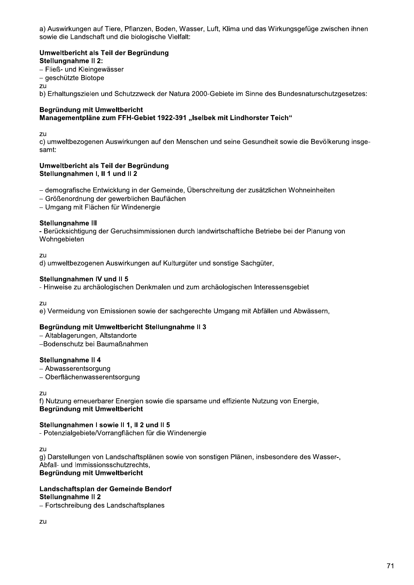a) Auswirkungen auf Tiere, Pflanzen, Boden, Wasser, Luft, Klima und das Wirkungsgefüge zwischen ihnen sowie die Landschaft und die biologische Vielfalt:

#### Umweltbericht als Teil der Begründung Stellungnahme II 2: - Fließ- und Kleingewässer

- geschützte Biotope

zu

b) Erhaltungszielen und Schutzzweck der Natura 2000-Gebiete im Sinne des Bundesnaturschutzgesetzes:

#### Begründung mit Umweltbericht Managementpläne zum FFH-Gebiet 1922-391 "Iselbek mit Lindhorster Teich"

zu

c) umweltbezogenen Auswirkungen auf den Menschen und seine Gesundheit sowie die Bevölkerung insgesamt:

#### Umweltbericht als Teil der Begründung Stellungnahmen I, II 1 und II 2

- demografische Entwicklung in der Gemeinde, Überschreitung der zusätzlichen Wohneinheiten

- Größenordnung der gewerblichen Bauflächen
- Umgang mit Flächen für Windenergie

#### Stellungnahme III

- Berücksichtigung der Geruchsimmissionen durch landwirtschaftliche Betriebe bei der Planung von Wohngebieten

zu

d) umweltbezogenen Auswirkungen auf Kulturgüter und sonstige Sachgüter.

#### Stellungnahmen IV und II 5

- Hinweise zu archäologischen Denkmalen und zum archäologischen Interessensgebiet

 $711$ 

e) Vermeidung von Emissionen sowie der sachgerechte Umgang mit Abfällen und Abwässern,

#### Begründung mit Umweltbericht Stellungnahme II 3

- Altablagerungen, Altstandorte

-Bodenschutz bei Baumaßnahmen

#### Stellungnahme II 4

- Abwasserentsorgung

- Oberflächenwasserentsorgung

zu

f) Nutzung erneuerbarer Energien sowie die sparsame und effiziente Nutzung von Energie. Begründung mit Umweltbericht

#### Stellungnahmen I sowie II 1, II 2 und II 5

- Potenzialgebiete/Vorrangflächen für die Windenergie

zu

g) Darstellungen von Landschaftsplänen sowie von sonstigen Plänen, insbesondere des Wasser-, Abfall- und Immissionsschutzrechts,

Begründung mit Umweltbericht

#### Landschaftsplan der Gemeinde Bendorf

#### Stellungnahme II 2

- Fortschreibung des Landschaftsplanes